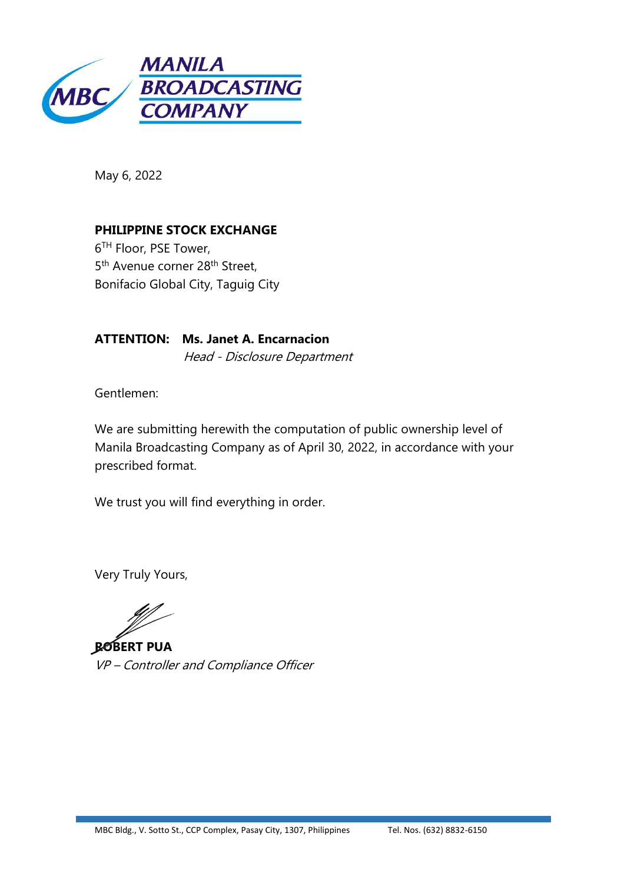

May 6, 2022

**PHILIPPINE STOCK EXCHANGE** 6 TH Floor, PSE Tower, 5<sup>th</sup> Avenue corner 28<sup>th</sup> Street, Bonifacio Global City, Taguig City

**ATTENTION: Ms. Janet A. Encarnacion** Head - Disclosure Department

Gentlemen:

We are submitting herewith the computation of public ownership level of Manila Broadcasting Company as of April 30, 2022, in accordance with your prescribed format.

We trust you will find everything in order.

Very Truly Yours,

**ROBERT PUA** VP – Controller and Compliance Officer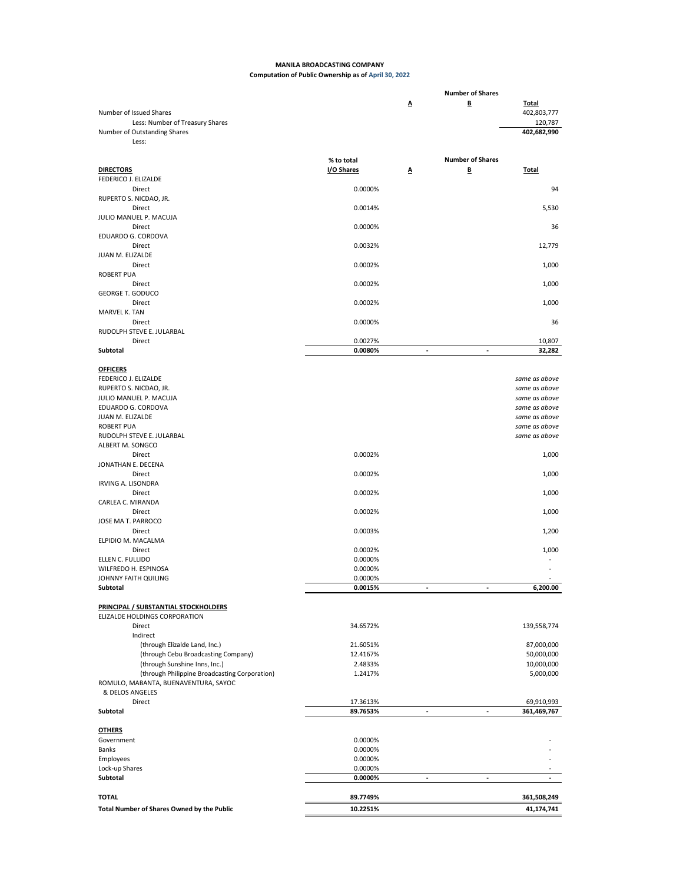## **MANILA BROADCASTING COMPANY Computation of Public Ownership as of April 30, 2022**

|                                                                      |                      |                          | <b>Number of Shares</b> |                                        |
|----------------------------------------------------------------------|----------------------|--------------------------|-------------------------|----------------------------------------|
| Number of Issued Shares<br>Less: Number of Treasury Shares           |                      | Δ                        | B                       | <b>Total</b><br>402,803,777<br>120,787 |
| Number of Outstanding Shares<br>Less:                                |                      |                          |                         | 402,682,990                            |
|                                                                      |                      |                          |                         |                                        |
|                                                                      | % to total           |                          | <b>Number of Shares</b> |                                        |
| <b>DIRECTORS</b>                                                     | I/O Shares           | Δ                        | B                       | <b>Total</b>                           |
| FEDERICO J. ELIZALDE                                                 |                      |                          |                         | 94                                     |
| Direct<br>RUPERTO S. NICDAO, JR.                                     | 0.0000%              |                          |                         |                                        |
| Direct                                                               | 0.0014%              |                          |                         | 5,530                                  |
| JULIO MANUEL P. MACUJA                                               |                      |                          |                         |                                        |
| Direct                                                               | 0.0000%              |                          |                         | 36                                     |
| EDUARDO G. CORDOVA                                                   |                      |                          |                         |                                        |
| Direct                                                               | 0.0032%              |                          |                         | 12,779                                 |
| JUAN M. ELIZALDE                                                     |                      |                          |                         |                                        |
| Direct                                                               | 0.0002%              |                          |                         | 1,000                                  |
| <b>ROBERT PUA</b><br>Direct                                          | 0.0002%              |                          |                         | 1,000                                  |
| <b>GEORGE T. GODUCO</b>                                              |                      |                          |                         |                                        |
| Direct                                                               | 0.0002%              |                          |                         | 1,000                                  |
| MARVEL K. TAN                                                        |                      |                          |                         |                                        |
| Direct                                                               | 0.0000%              |                          |                         | 36                                     |
| RUDOLPH STEVE E. JULARBAL                                            |                      |                          |                         |                                        |
| Direct                                                               | 0.0027%              |                          |                         | 10,807                                 |
| Subtotal                                                             | 0.0080%              | $\overline{\phantom{a}}$ | ÷,                      | 32,282                                 |
|                                                                      |                      |                          |                         |                                        |
| <b>OFFICERS</b>                                                      |                      |                          |                         |                                        |
| FEDERICO J. ELIZALDE                                                 |                      |                          |                         | same as above                          |
| RUPERTO S. NICDAO, JR.<br>JULIO MANUEL P. MACUJA                     |                      |                          |                         | same as above                          |
| EDUARDO G. CORDOVA                                                   |                      |                          |                         | same as above<br>same as above         |
| JUAN M. ELIZALDE                                                     |                      |                          |                         | same as above                          |
| <b>ROBERT PUA</b>                                                    |                      |                          |                         | same as above                          |
| RUDOLPH STEVE E. JULARBAL                                            |                      |                          |                         | same as above                          |
| ALBERT M. SONGCO                                                     |                      |                          |                         |                                        |
| Direct                                                               | 0.0002%              |                          |                         | 1,000                                  |
| JONATHAN E. DECENA                                                   |                      |                          |                         |                                        |
| Direct                                                               | 0.0002%              |                          |                         | 1,000                                  |
| <b>IRVING A. LISONDRA</b>                                            |                      |                          |                         |                                        |
| Direct                                                               | 0.0002%              |                          |                         | 1,000                                  |
| CARLEA C. MIRANDA                                                    |                      |                          |                         |                                        |
| Direct                                                               | 0.0002%              |                          |                         | 1,000                                  |
| JOSE MA T. PARROCO<br>Direct                                         | 0.0003%              |                          |                         |                                        |
| ELPIDIO M. MACALMA                                                   |                      |                          |                         | 1,200                                  |
| Direct                                                               | 0.0002%              |                          |                         | 1,000                                  |
| ELLEN C. FULLIDO                                                     | 0.0000%              |                          |                         |                                        |
| WILFREDO H. ESPINOSA                                                 | 0.0000%              |                          |                         |                                        |
| JOHNNY FAITH QUILING                                                 | 0.0000%              |                          |                         |                                        |
| Subtotal                                                             | 0.0015%              |                          |                         | 6.200.00                               |
|                                                                      |                      |                          |                         |                                        |
| PRINCIPAL / SUBSTANTIAL STOCKHOLDERS                                 |                      |                          |                         |                                        |
| ELIZALDE HOLDINGS CORPORATION                                        |                      |                          |                         |                                        |
| Direct                                                               | 34.6572%             |                          |                         | 139,558,774                            |
| Indirect                                                             |                      |                          |                         |                                        |
| (through Elizalde Land, Inc.)                                        | 21.6051%<br>12.4167% |                          |                         | 87,000,000<br>50,000,000               |
| (through Cebu Broadcasting Company)<br>(through Sunshine Inns, Inc.) | 2.4833%              |                          |                         | 10,000,000                             |
| (through Philippine Broadcasting Corporation)                        | 1.2417%              |                          |                         | 5,000,000                              |
| ROMULO, MABANTA, BUENAVENTURA, SAYOC                                 |                      |                          |                         |                                        |
| & DELOS ANGELES                                                      |                      |                          |                         |                                        |
| Direct                                                               | 17.3613%             |                          |                         | 69,910,993                             |
| Subtotal                                                             | 89.7653%             | $\overline{\phantom{a}}$ |                         | 361,469,767                            |
|                                                                      |                      |                          |                         |                                        |
| <b>OTHERS</b>                                                        |                      |                          |                         |                                        |
| Government                                                           | 0.0000%              |                          |                         |                                        |
| Banks                                                                | 0.0000%              |                          |                         |                                        |
| Employees                                                            | 0.0000%              |                          |                         |                                        |
| Lock-up Shares                                                       | 0.0000%              |                          |                         |                                        |
| Subtotal                                                             | 0.0000%              | $\blacksquare$           | ٠                       | ٠                                      |
| <b>TOTAL</b>                                                         | 89.7749%             |                          |                         | 361,508,249                            |
|                                                                      |                      |                          |                         |                                        |
| Total Number of Shares Owned by the Public                           | 10.2251%             |                          |                         | 41,174,741                             |